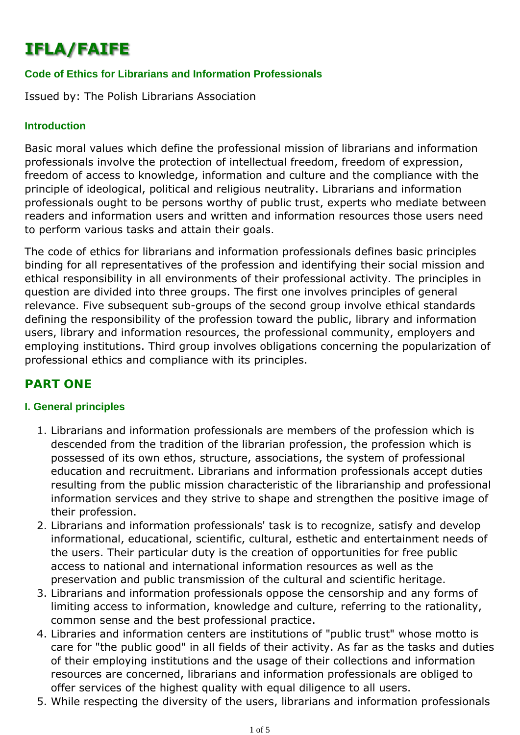# **IFLA/FAIFE**

#### **Code of Ethics for Librarians and Information Professionals**

Issued by: The Polish Librarians Association

#### **Introduction**

Basic moral values which define the professional mission of librarians and information professionals involve the protection of intellectual freedom, freedom of expression, freedom of access to knowledge, information and culture and the compliance with the principle of ideological, political and religious neutrality. Librarians and information professionals ought to be persons worthy of public trust, experts who mediate between readers and information users and written and information resources those users need to perform various tasks and attain their goals.

The code of ethics for librarians and information professionals defines basic principles binding for all representatives of the profession and identifying their social mission and ethical responsibility in all environments of their professional activity. The principles in question are divided into three groups. The first one involves principles of general relevance. Five subsequent sub-groups of the second group involve ethical standards defining the responsibility of the profession toward the public, library and information users, library and information resources, the professional community, employers and employing institutions. Third group involves obligations concerning the popularization of professional ethics and compliance with its principles.

## **PART ONE**

#### **I. General principles**

- 1. Librarians and information professionals are members of the profession which is descended from the tradition of the librarian profession, the profession which is possessed of its own ethos, structure, associations, the system of professional education and recruitment. Librarians and information professionals accept duties resulting from the public mission characteristic of the librarianship and professional information services and they strive to shape and strengthen the positive image of their profession.
- 2. Librarians and information professionals' task is to recognize, satisfy and develop informational, educational, scientific, cultural, esthetic and entertainment needs of the users. Their particular duty is the creation of opportunities for free public access to national and international information resources as well as the preservation and public transmission of the cultural and scientific heritage.
- 3. Librarians and information professionals oppose the censorship and any forms of limiting access to information, knowledge and culture, referring to the rationality, common sense and the best professional practice.
- 4. Libraries and information centers are institutions of "public trust" whose motto is care for "the public good" in all fields of their activity. As far as the tasks and duties of their employing institutions and the usage of their collections and information resources are concerned, librarians and information professionals are obliged to offer services of the highest quality with equal diligence to all users.
- 5. While respecting the diversity of the users, librarians and information professionals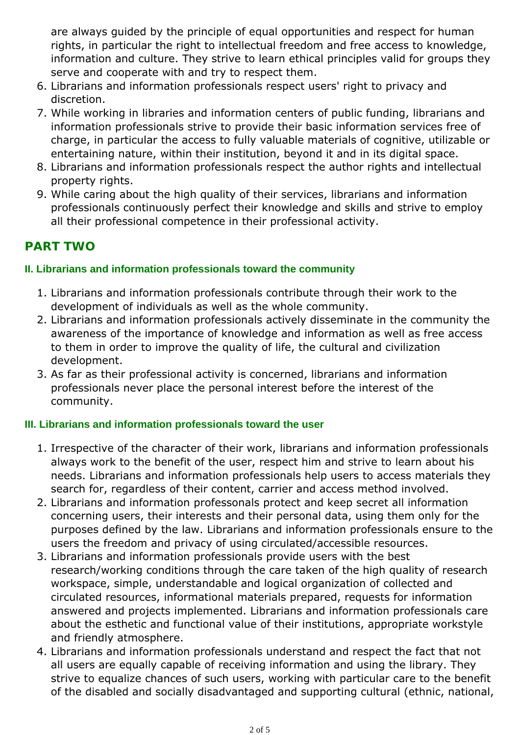are always guided by the principle of equal opportunities and respect for human rights, in particular the right to intellectual freedom and free access to knowledge, information and culture. They strive to learn ethical principles valid for groups they serve and cooperate with and try to respect them.

- 6. Librarians and information professionals respect users' right to privacy and discretion.
- While working in libraries and information centers of public funding, librarians and 7. information professionals strive to provide their basic information services free of charge, in particular the access to fully valuable materials of cognitive, utilizable or entertaining nature, within their institution, beyond it and in its digital space.
- 8. Librarians and information professionals respect the author rights and intellectual property rights.
- While caring about the high quality of their services, librarians and information 9. professionals continuously perfect their knowledge and skills and strive to employ all their professional competence in their professional activity.

# **PART TWO**

### **II. Librarians and information professionals toward the community**

- 1. Librarians and information professionals contribute through their work to the development of individuals as well as the whole community.
- 2. Librarians and information professionals actively disseminate in the community the awareness of the importance of knowledge and information as well as free access to them in order to improve the quality of life, the cultural and civilization development.
- 3. As far as their professional activity is concerned, librarians and information professionals never place the personal interest before the interest of the community.

### **III. Librarians and information professionals toward the user**

- 1. Irrespective of the character of their work, librarians and information professionals always work to the benefit of the user, respect him and strive to learn about his needs. Librarians and information professionals help users to access materials they search for, regardless of their content, carrier and access method involved.
- 2. Librarians and information professonals protect and keep secret all information concerning users, their interests and their personal data, using them only for the purposes defined by the law. Librarians and information professionals ensure to the users the freedom and privacy of using circulated/accessible resources.
- 3. Librarians and information professionals provide users with the best research/working conditions through the care taken of the high quality of research workspace, simple, understandable and logical organization of collected and circulated resources, informational materials prepared, requests for information answered and projects implemented. Librarians and information professionals care about the esthetic and functional value of their institutions, appropriate workstyle and friendly atmosphere.
- 4. Librarians and information professionals understand and respect the fact that not all users are equally capable of receiving information and using the library. They strive to equalize chances of such users, working with particular care to the benefit of the disabled and socially disadvantaged and supporting cultural (ethnic, national,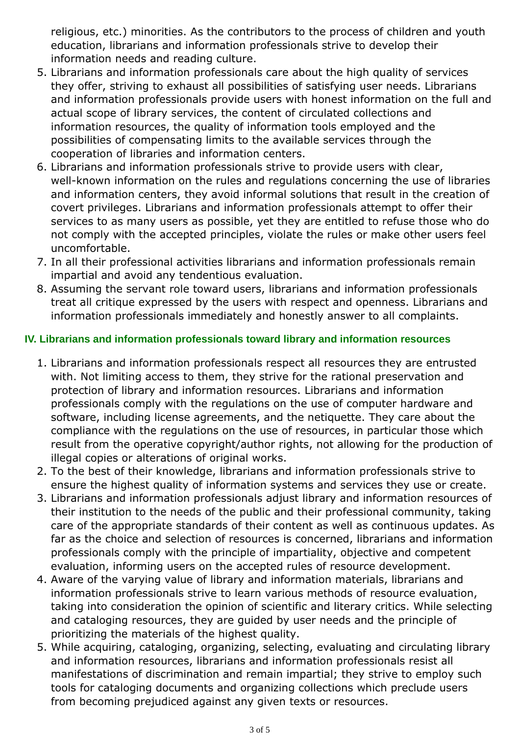religious, etc.) minorities. As the contributors to the process of children and youth education, librarians and information professionals strive to develop their information needs and reading culture.

- 5. Librarians and information professionals care about the high quality of services they offer, striving to exhaust all possibilities of satisfying user needs. Librarians and information professionals provide users with honest information on the full and actual scope of library services, the content of circulated collections and information resources, the quality of information tools employed and the possibilities of compensating limits to the available services through the cooperation of libraries and information centers.
- 6. Librarians and information professionals strive to provide users with clear, well-known information on the rules and regulations concerning the use of libraries and information centers, they avoid informal solutions that result in the creation of covert privileges. Librarians and information professionals attempt to offer their services to as many users as possible, yet they are entitled to refuse those who do not comply with the accepted principles, violate the rules or make other users feel uncomfortable.
- 7. In all their professional activities librarians and information professionals remain impartial and avoid any tendentious evaluation.
- Assuming the servant role toward users, librarians and information professionals 8. treat all critique expressed by the users with respect and openness. Librarians and information professionals immediately and honestly answer to all complaints.

## **IV. Librarians and information professionals toward library and information resources**

- Librarians and information professionals respect all resources they are entrusted 1. with. Not limiting access to them, they strive for the rational preservation and protection of library and information resources. Librarians and information professionals comply with the regulations on the use of computer hardware and software, including license agreements, and the netiquette. They care about the compliance with the regulations on the use of resources, in particular those which result from the operative copyright/author rights, not allowing for the production of illegal copies or alterations of original works.
- 2. To the best of their knowledge, librarians and information professionals strive to ensure the highest quality of information systems and services they use or create.
- 3. Librarians and information professionals adjust library and information resources of their institution to the needs of the public and their professional community, taking care of the appropriate standards of their content as well as continuous updates. As far as the choice and selection of resources is concerned, librarians and information professionals comply with the principle of impartiality, objective and competent evaluation, informing users on the accepted rules of resource development.
- 4. Aware of the varying value of library and information materials, librarians and information professionals strive to learn various methods of resource evaluation, taking into consideration the opinion of scientific and literary critics. While selecting and cataloging resources, they are guided by user needs and the principle of prioritizing the materials of the highest quality.
- While acquiring, cataloging, organizing, selecting, evaluating and circulating library 5. and information resources, librarians and information professionals resist all manifestations of discrimination and remain impartial; they strive to employ such tools for cataloging documents and organizing collections which preclude users from becoming prejudiced against any given texts or resources.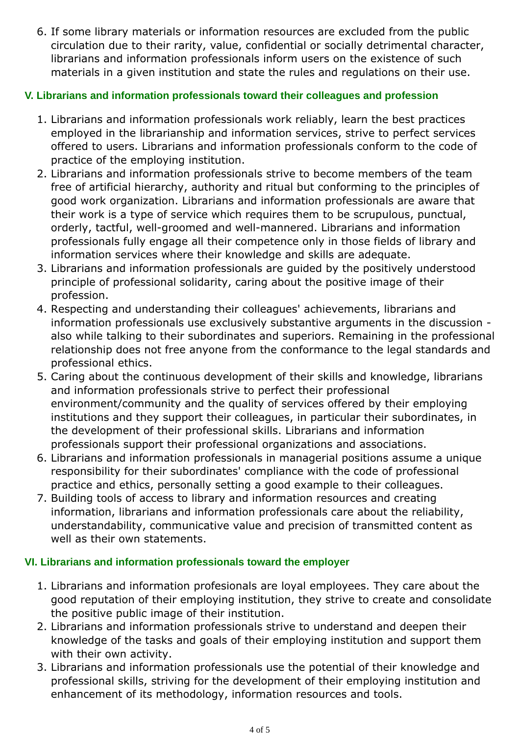6. If some library materials or information resources are excluded from the public circulation due to their rarity, value, confidential or socially detrimental character, librarians and information professionals inform users on the existence of such materials in a given institution and state the rules and regulations on their use.

### **V. Librarians and information professionals toward their colleagues and profession**

- Librarians and information professionals work reliably, learn the best practices 1. employed in the librarianship and information services, strive to perfect services offered to users. Librarians and information professionals conform to the code of practice of the employing institution.
- 2. Librarians and information professionals strive to become members of the team free of artificial hierarchy, authority and ritual but conforming to the principles of good work organization. Librarians and information professionals are aware that their work is a type of service which requires them to be scrupulous, punctual, orderly, tactful, well-groomed and well-mannered. Librarians and information professionals fully engage all their competence only in those fields of library and information services where their knowledge and skills are adequate.
- 3. Librarians and information professionals are guided by the positively understood principle of professional solidarity, caring about the positive image of their profession.
- 4. Respecting and understanding their colleagues' achievements, librarians and information professionals use exclusively substantive arguments in the discussion also while talking to their subordinates and superiors. Remaining in the professional relationship does not free anyone from the conformance to the legal standards and professional ethics.
- 5. Caring about the continuous development of their skills and knowledge, librarians and information professionals strive to perfect their professional environment/community and the quality of services offered by their employing institutions and they support their colleagues, in particular their subordinates, in the development of their professional skills. Librarians and information professionals support their professional organizations and associations.
- 6. Librarians and information professionals in managerial positions assume a unique responsibility for their subordinates' compliance with the code of professional practice and ethics, personally setting a good example to their colleagues.
- 7. Building tools of access to library and information resources and creating information, librarians and information professionals care about the reliability, understandability, communicative value and precision of transmitted content as well as their own statements.

#### **VI. Librarians and information professionals toward the employer**

- 1. Librarians and information profesionals are loyal employees. They care about the good reputation of their employing institution, they strive to create and consolidate the positive public image of their institution.
- 2. Librarians and information professionals strive to understand and deepen their knowledge of the tasks and goals of their employing institution and support them with their own activity.
- 3. Librarians and information professionals use the potential of their knowledge and professional skills, striving for the development of their employing institution and enhancement of its methodology, information resources and tools.